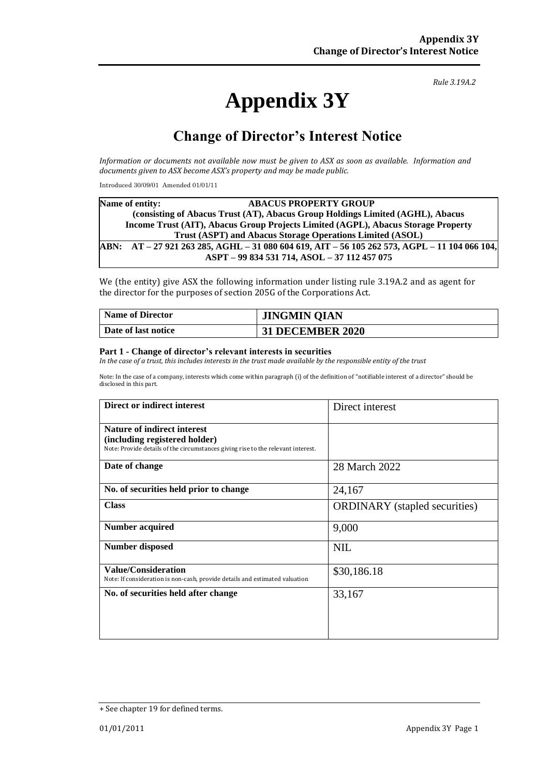# **Appendix 3Y**

*Rule 3.19A.2*

# **Change of Director's Interest Notice**

*Information or documents not available now must be given to ASX as soon as available. Information and documents given to ASX become ASX's property and may be made public.*

Introduced 30/09/01 Amended 01/01/11

|                                                                                               | Name of entity:                                                                   | <b>ABACUS PROPERTY GROUP</b>                 |  |  |  |
|-----------------------------------------------------------------------------------------------|-----------------------------------------------------------------------------------|----------------------------------------------|--|--|--|
|                                                                                               | (consisting of Abacus Trust (AT), Abacus Group Holdings Limited (AGHL), Abacus    |                                              |  |  |  |
|                                                                                               | Income Trust (AIT), Abacus Group Projects Limited (AGPL), Abacus Storage Property |                                              |  |  |  |
| Trust (ASPT) and Abacus Storage Operations Limited (ASOL)                                     |                                                                                   |                                              |  |  |  |
|                                                                                               |                                                                                   |                                              |  |  |  |
|                                                                                               |                                                                                   | ASPT - 99 834 531 714, ASOL - 37 112 457 075 |  |  |  |
| ABN: AT – 27 921 263 285, AGHL – 31 080 604 619, AIT – 56 105 262 573, AGPL – 11 104 066 104, |                                                                                   |                                              |  |  |  |

We (the entity) give ASX the following information under listing rule 3.19A.2 and as agent for the director for the purposes of section 205G of the Corporations Act.

| <b>Name of Director</b> | <b>JINGMIN QIAN</b>     |
|-------------------------|-------------------------|
| Date of last notice     | <b>31 DECEMBER 2020</b> |

#### **Part 1 - Change of director's relevant interests in securities**

*In the case of a trust, this includes interests in the trust made available by the responsible entity of the trust*

Note: In the case of a company, interests which come within paragraph (i) of the definition of "notifiable interest of a director" should be disclosed in this part.

| <b>Direct or indirect interest</b>                                                                        | Direct interest                      |
|-----------------------------------------------------------------------------------------------------------|--------------------------------------|
| <b>Nature of indirect interest</b>                                                                        |                                      |
| (including registered holder)                                                                             |                                      |
| Note: Provide details of the circumstances giving rise to the relevant interest.                          |                                      |
| Date of change                                                                                            | 28 March 2022                        |
| No. of securities held prior to change                                                                    | 24,167                               |
| <b>Class</b>                                                                                              | <b>ORDINARY</b> (stapled securities) |
| <b>Number acquired</b>                                                                                    | 9,000                                |
| <b>Number disposed</b>                                                                                    | <b>NIL</b>                           |
| <b>Value/Consideration</b><br>Note: If consideration is non-cash, provide details and estimated valuation | \$30,186.18                          |
| No. of securities held after change                                                                       | 33,167                               |
|                                                                                                           |                                      |

<sup>+</sup> See chapter 19 for defined terms.